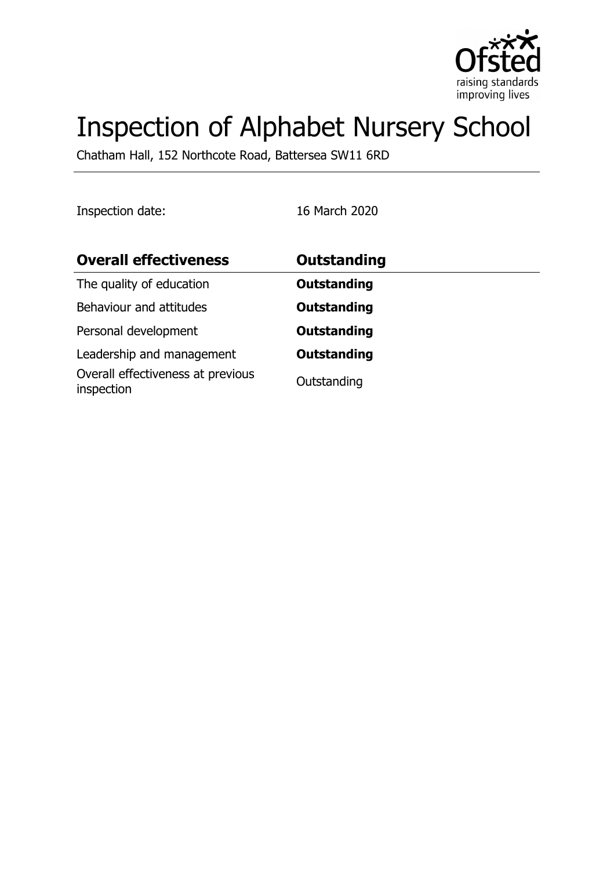

# Inspection of Alphabet Nursery School

Chatham Hall, 152 Northcote Road, Battersea SW11 6RD

Inspection date: 16 March 2020

| <b>Overall effectiveness</b>                    | <b>Outstanding</b> |
|-------------------------------------------------|--------------------|
| The quality of education                        | <b>Outstanding</b> |
| Behaviour and attitudes                         | <b>Outstanding</b> |
| Personal development                            | <b>Outstanding</b> |
| Leadership and management                       | <b>Outstanding</b> |
| Overall effectiveness at previous<br>inspection | Outstanding        |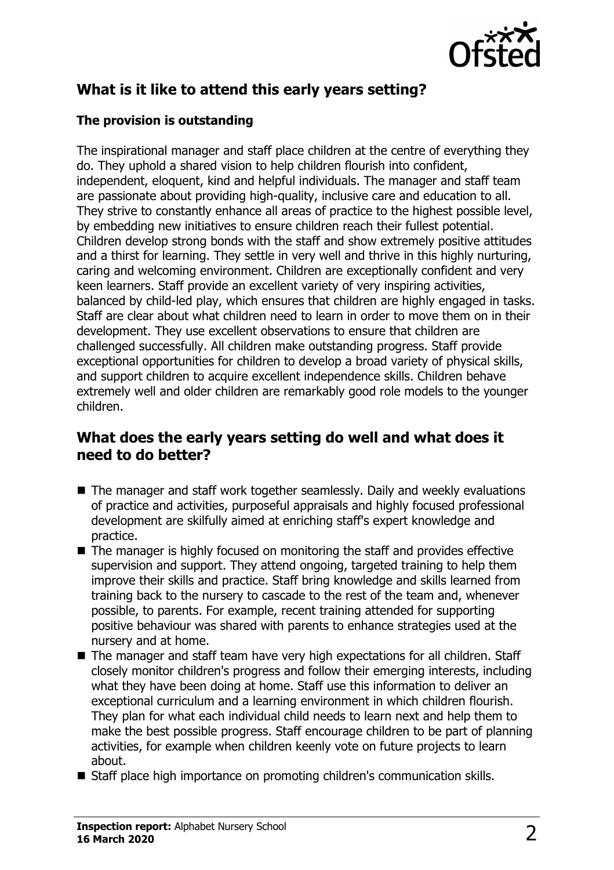

# **What is it like to attend this early years setting?**

### **The provision is outstanding**

The inspirational manager and staff place children at the centre of everything they do. They uphold a shared vision to help children flourish into confident, independent, eloquent, kind and helpful individuals. The manager and staff team are passionate about providing high-quality, inclusive care and education to all. They strive to constantly enhance all areas of practice to the highest possible level, by embedding new initiatives to ensure children reach their fullest potential. Children develop strong bonds with the staff and show extremely positive attitudes and a thirst for learning. They settle in very well and thrive in this highly nurturing, caring and welcoming environment. Children are exceptionally confident and very keen learners. Staff provide an excellent variety of very inspiring activities, balanced by child-led play, which ensures that children are highly engaged in tasks. Staff are clear about what children need to learn in order to move them on in their development. They use excellent observations to ensure that children are challenged successfully. All children make outstanding progress. Staff provide exceptional opportunities for children to develop a broad variety of physical skills, and support children to acquire excellent independence skills. Children behave extremely well and older children are remarkably good role models to the younger children.

# **What does the early years setting do well and what does it need to do better?**

- $\blacksquare$  The manager and staff work together seamlessly. Daily and weekly evaluations of practice and activities, purposeful appraisals and highly focused professional development are skilfully aimed at enriching staff's expert knowledge and practice.
- $\blacksquare$  The manager is highly focused on monitoring the staff and provides effective supervision and support. They attend ongoing, targeted training to help them improve their skills and practice. Staff bring knowledge and skills learned from training back to the nursery to cascade to the rest of the team and, whenever possible, to parents. For example, recent training attended for supporting positive behaviour was shared with parents to enhance strategies used at the nursery and at home.
- The manager and staff team have very high expectations for all children. Staff closely monitor children's progress and follow their emerging interests, including what they have been doing at home. Staff use this information to deliver an exceptional curriculum and a learning environment in which children flourish. They plan for what each individual child needs to learn next and help them to make the best possible progress. Staff encourage children to be part of planning activities, for example when children keenly vote on future projects to learn about.
- Staff place high importance on promoting children's communication skills.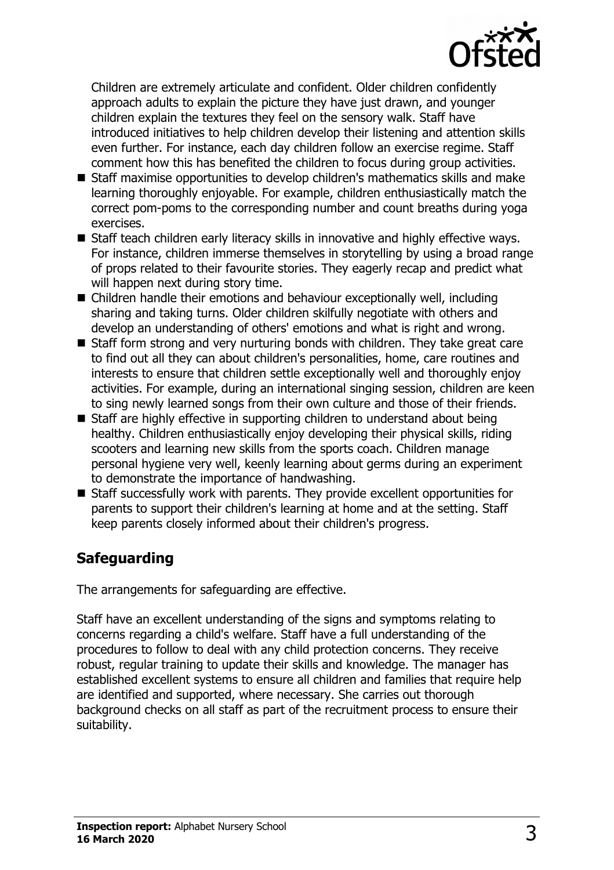

Children are extremely articulate and confident. Older children confidently approach adults to explain the picture they have just drawn, and younger children explain the textures they feel on the sensory walk. Staff have introduced initiatives to help children develop their listening and attention skills even further. For instance, each day children follow an exercise regime. Staff comment how this has benefited the children to focus during group activities.

- $\blacksquare$  Staff maximise opportunities to develop children's mathematics skills and make learning thoroughly enjoyable. For example, children enthusiastically match the correct pom-poms to the corresponding number and count breaths during yoga exercises.
- Staff teach children early literacy skills in innovative and highly effective ways. For instance, children immerse themselves in storytelling by using a broad range of props related to their favourite stories. They eagerly recap and predict what will happen next during story time.
- $\blacksquare$  Children handle their emotions and behaviour exceptionally well, including sharing and taking turns. Older children skilfully negotiate with others and develop an understanding of others' emotions and what is right and wrong.
- $\blacksquare$  Staff form strong and very nurturing bonds with children. They take great care to find out all they can about children's personalities, home, care routines and interests to ensure that children settle exceptionally well and thoroughly enjoy activities. For example, during an international singing session, children are keen to sing newly learned songs from their own culture and those of their friends.
- $\blacksquare$  Staff are highly effective in supporting children to understand about being healthy. Children enthusiastically enjoy developing their physical skills, riding scooters and learning new skills from the sports coach. Children manage personal hygiene very well, keenly learning about germs during an experiment to demonstrate the importance of handwashing.
- $\blacksquare$  Staff successfully work with parents. They provide excellent opportunities for parents to support their children's learning at home and at the setting. Staff keep parents closely informed about their children's progress.

# **Safeguarding**

The arrangements for safeguarding are effective.

Staff have an excellent understanding of the signs and symptoms relating to concerns regarding a child's welfare. Staff have a full understanding of the procedures to follow to deal with any child protection concerns. They receive robust, regular training to update their skills and knowledge. The manager has established excellent systems to ensure all children and families that require help are identified and supported, where necessary. She carries out thorough background checks on all staff as part of the recruitment process to ensure their suitability.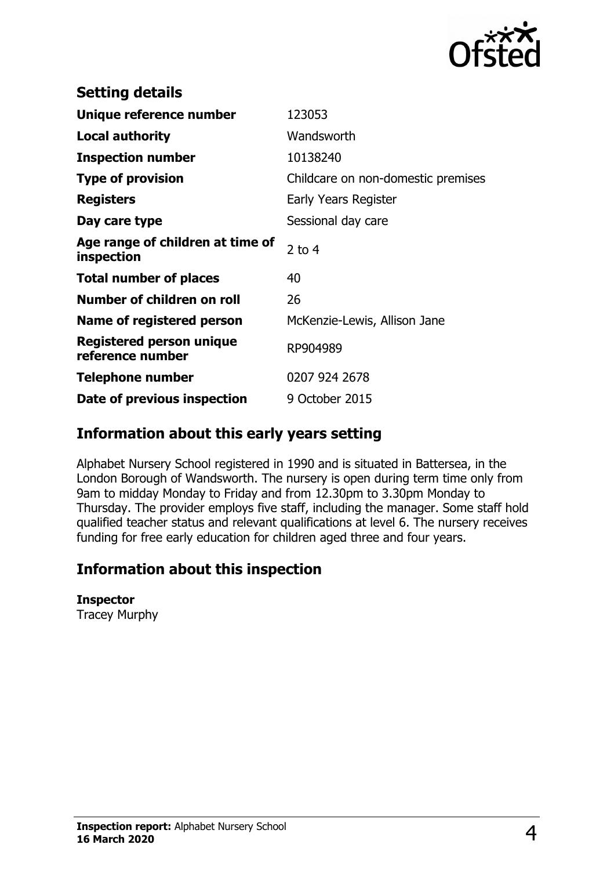

| 123053                             |
|------------------------------------|
| Wandsworth                         |
| 10138240                           |
| Childcare on non-domestic premises |
| Early Years Register               |
| Sessional day care                 |
| $2$ to 4                           |
| 40                                 |
| 26                                 |
| McKenzie-Lewis, Allison Jane       |
| RP904989                           |
| 0207 924 2678                      |
| 9 October 2015                     |
|                                    |

# **Information about this early years setting**

Alphabet Nursery School registered in 1990 and is situated in Battersea, in the London Borough of Wandsworth. The nursery is open during term time only from 9am to midday Monday to Friday and from 12.30pm to 3.30pm Monday to Thursday. The provider employs five staff, including the manager. Some staff hold qualified teacher status and relevant qualifications at level 6. The nursery receives funding for free early education for children aged three and four years.

# **Information about this inspection**

#### **Inspector**

Tracey Murphy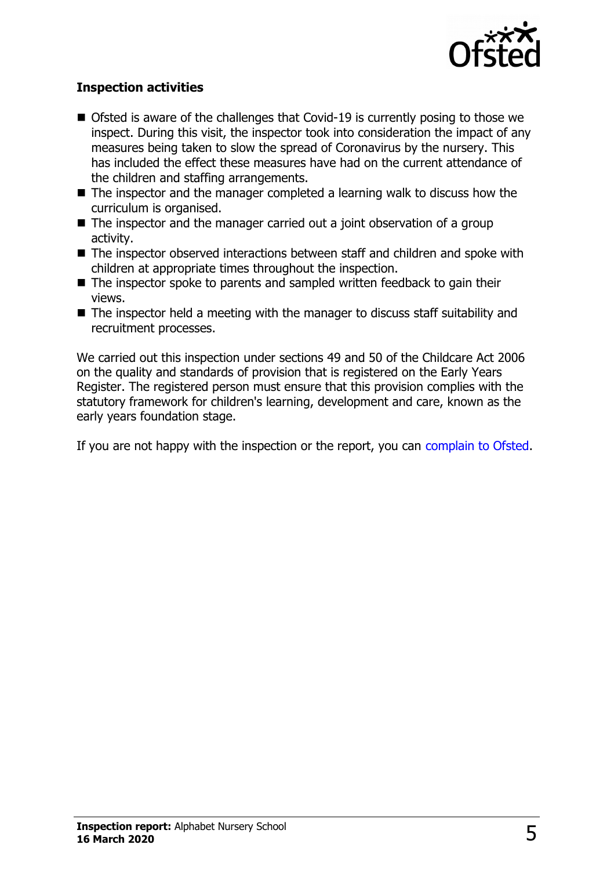

#### **Inspection activities**

- $\blacksquare$  Ofsted is aware of the challenges that Covid-19 is currently posing to those we inspect. During this visit, the inspector took into consideration the impact of any measures being taken to slow the spread of Coronavirus by the nursery. This has included the effect these measures have had on the current attendance of the children and staffing arrangements.
- $\blacksquare$  The inspector and the manager completed a learning walk to discuss how the curriculum is organised.
- $\blacksquare$  The inspector and the manager carried out a joint observation of a group activity.
- $\blacksquare$  The inspector observed interactions between staff and children and spoke with children at appropriate times throughout the inspection.
- $\blacksquare$  The inspector spoke to parents and sampled written feedback to gain their views.
- $\blacksquare$  The inspector held a meeting with the manager to discuss staff suitability and recruitment processes.

We carried out this inspection under sections 49 and 50 of the Childcare Act 2006 on the quality and standards of provision that is registered on the Early Years Register. The registered person must ensure that this provision complies with the statutory framework for children's learning, development and care, known as the early years foundation stage.

If you are not happy with the inspection or the report, you can [complain to Ofsted.](http://www.gov.uk/complain-ofsted-report)